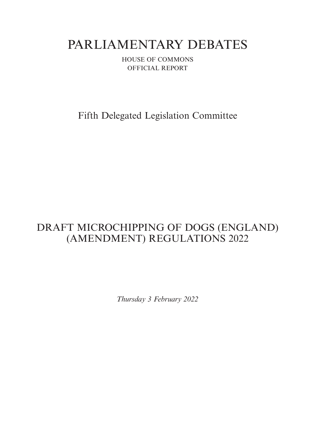# PARLIAMENTARY DEBATES

HOUSE OF COMMONS OFFICIAL REPORT

Fifth Delegated Legislation Committee

## DRAFT MICROCHIPPING OF DOGS (ENGLAND) (AMENDMENT) REGULATIONS 2022

*Thursday 3 February 2022*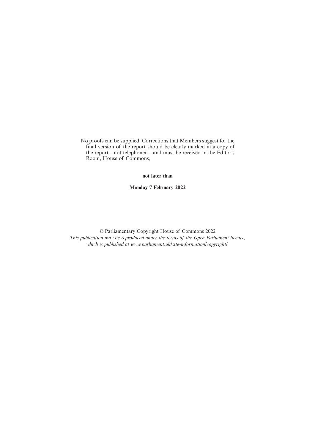No proofs can be supplied. Corrections that Members suggest for the final version of the report should be clearly marked in a copy of the report—not telephoned—and must be received in the Editor's Room, House of Commons,

**not later than**

**Monday 7 February 2022**

© Parliamentary Copyright House of Commons 2022 *This publication may be reproduced under the terms of the Open Parliament licence, which is published at www.parliament.uk/site-information/copyright/.*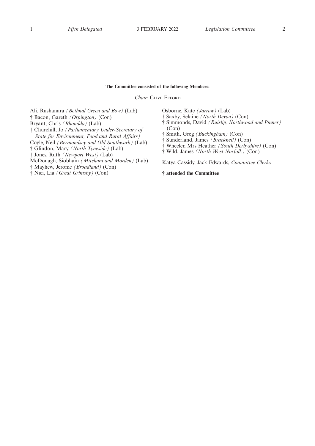#### **The Committee consisted of the following Members:**

*Chair:* CLIVE EFFORD

Ali, Rushanara *(Bethnal Green and Bow)* (Lab) † Bacon, Gareth *(Orpington)* (Con) Bryant, Chris *(Rhondda)* (Lab) † Churchill, Jo *(Parliamentary Under-Secretary of State for Environment, Food and Rural Affairs)* Coyle, Neil *(Bermondsey and Old Southwark)* (Lab)

† Glindon, Mary *(North Tyneside)* (Lab)

† Jones, Ruth *(Newport West)* (Lab)

- McDonagh, Siobhain *(Mitcham and Morden)* (Lab)
- † Mayhew, Jerome *(Broadland)* (Con)
- † Nici, Lia *(Great Grimsby)* (Con)

Osborne, Kate *(Jarrow)* (Lab)

- † Saxby, Selaine *(North Devon)* (Con)
- † Simmonds, David *(Ruislip, Northwood and Pinner)* (Con)
- † Smith, Greg *(Buckingham)* (Con)
- † Sunderland, James *(Bracknell)* (Con)
- † Wheeler, Mrs Heather *(South Derbyshire)* (Con)
- † Wild, James *(North West Norfolk)* (Con)

Katya Cassidy, Jack Edwards, *Committee Clerks*

**† attended the Committee**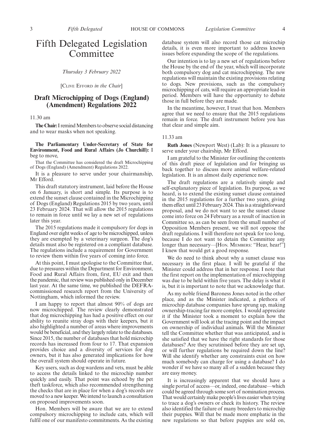## Fifth Delegated Legislation Committee

*Thursday 3 February 2022*

[CLIVE EFFORD *in the Chair*]

## **Draft Microchipping of Dogs (England) (Amendment) Regulations 2022**

11.30 am

**The Chair:**I remind Members to observe social distancing and to wear masks when not speaking.

**The Parliamentary Under-Secretary of State for Environment, Food and Rural Affairs (Jo Churchill):** I beg to move,

That the Committee has considered the draft Microchipping of Dogs (England) (Amendment) Regulations 2022.

It is a pleasure to serve under your chairmanship, Mr Efford.

This draft statutory instrument, laid before the House on 6 January, is short and simple. Its purpose is to extend the sunset clause contained in the Microchipping of Dogs (England) Regulations 2015 by two years, until 23 February 2024. That will allow the 2015 regulations to remain in force until we lay a new set of regulations later this year.

The 2015 regulations made it compulsory for dogs in England over eight weeks of age to be microchipped, unless they are exempted by a veterinary surgeon. The dog's details must also be registered on a compliant database. The regulations include a requirement for Government to review them within five years of coming into force.

At this point, I must apologise to the Committee that, due to pressures within the Department for Environment, Food and Rural Affairs from, first, EU exit and then the pandemic, that review was published only in December last year. At the same time, we published the DEFRAcommissioned research report from the University of Nottingham, which informed the review.

I am happy to report that almost 90% of dogs are now microchipped. The review clearly demonstrated that dog microchipping has had a positive effect on our ability to reunite stray dogs with their keepers, but it also highlighted a number of areas where improvements would be beneficial, and they largely relate to the databases. Since 2015, the number of databases that hold microchip records has increased from four to 17. That expansion provides choice and a diversity of services for dog owners, but it has also generated implications for how the overall system should operate in future.

Key users, such as dog wardens and vets, must be able to access the details linked to the microchip number quickly and easily. That point was echoed by the pet theft taskforce, which also recommended strengthening the checks that are in place for when a dog's records are moved to a new keeper. We intend to launch a consultation on proposed improvements soon.

Hon. Members will be aware that we are to extend compulsory microchipping to include cats, which will fulfil one of our manifesto commitments. As the existing database system will also record those cat microchip details, it is even more important to address known issues before expanding the scope of the regulations.

Our intention is to lay a new set of regulations before the House by the end of the year, which will incorporate both compulsory dog and cat microchipping. The new regulations will maintain the existing provisions relating to dogs. New provisions, such as the compulsory microchipping of cats, will require an appropriate lead-in period. Members will have the opportunity to debate those in full before they are made.

In the meantime, however, I trust that hon. Members agree that we need to ensure that the 2015 regulations remain in force. The draft instrument before you has that clear and simple aim.

#### 11.33 am

**Ruth Jones** (Newport West) (Lab): It is a pleasure to serve under your chairship, Mr Efford.

I am grateful to the Minister for outlining the contents of this draft piece of legislation and for bringing us back together to discuss more animal welfare-related legislation. It is an almost daily experience now.

The draft regulations are a relatively simple and self-explanatory piece of legislation. Its purpose, as we heard, is to extend the existing sunset clause contained in the 2015 regulations for a further two years, giving them effect until 23 February 2024. This is a straightforward proposal, and we do not want to see the sunset clause come into force on 24 February as a result of inaction in Committee so, as can be seen from the small number of Opposition Members present, we will not oppose the draft regulations. I will therefore not speak for too long, because I do not want to detain the Committee any longer than necessary—[HON. MEMBERS: "Hear, hear!"] I knew that would get a good response.

We do need to think about why a sunset clause was necessary in the first place. I will be grateful if the Minister could address that in her response. I note that the first report on the implementation of microchipping was due to be held within five years. The delay is what it is, but it is important to note that we acknowledge that.

As my noble friend Baroness Jones noted in the other place, and as the Minister indicated, a plethora of microchip database companies have sprung up, making ownership-tracing far more complex. I would appreciate it if the Minister took a moment to explain how the Government will look at the tracing point and the impact on ownership of individual animals. Will the Minister tell the Committee whether that was anticipated, and is she satisfied that we have the right standards for those databases? Are they scrutinised before they are set up, or will further regulations be required down the line? Will she identify whether any constraints exist on how much somebody can charge for using a database? I do wonder if we have so many all of a sudden because they are easy money.

It is increasingly apparent that we should have a single portal of access—or, indeed, one database—which could be agreed through some sort of nomination process. That would certainly make people's lives easier when trying to trace a dog's owners or check its history. The review also identified the failure of many breeders to microchip their puppies. Will that be made more emphatic in the new regulations so that before puppies are sold on,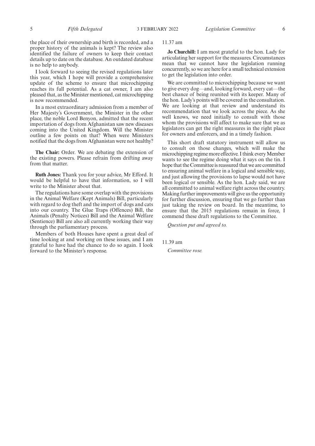the place of their ownership and birth is recorded, and a proper history of the animals is kept? The review also identified the failure of owners to keep their contact details up to date on the database. An outdated database is no help to anybody.

I look forward to seeing the revised regulations later this year, which I hope will provide a comprehensive update of the scheme to ensure that microchipping reaches its full potential. As a cat owner, I am also pleased that, as the Minister mentioned, cat microchipping is now recommended.

In a most extraordinary admission from a member of Her Majesty's Government, the Minister in the other place, the noble Lord Benyon, admitted that the recent importation of dogs from Afghanistan saw new diseases coming into the United Kingdom. Will the Minister outline a few points on that? When were Ministers notified that the dogs from Afghanistan were not healthy?

**The Chair:** Order. We are debating the extension of the existing powers. Please refrain from drifting away from that matter.

**Ruth Jones:** Thank you for your advice, Mr Efford. It would be helpful to have that information, so I will write to the Minister about that.

The regulations have some overlap with the provisions in the Animal Welfare (Kept Animals) Bill, particularly with regard to dog theft and the import of dogs and cats into our country. The Glue Traps (Offences) Bill, the Animals (Penalty Notices) Bill and the Animal Welfare (Sentience) Bill are also all currently working their way through the parliamentary process.

Members of both Houses have spent a great deal of time looking at and working on these issues, and I am grateful to have had the chance to do so again. I look forward to the Minister's response.

### 11.37 am

**Jo Churchill:** I am most grateful to the hon. Lady for articulating her support for the measures. Circumstances mean that we cannot have the legislation running concurrently, so we are here for a small technical extension to get the legislation into order.

We are committed to microchipping because we want to give every dog—and, looking forward, every cat—the best chance of being reunited with its keeper. Many of the hon. Lady's points will be covered in the consultation. We are looking at that review and understand its recommendation that we look across the piece. As she well knows, we need initially to consult with those whom the provisions will affect to make sure that we as legislators can get the right measures in the right place for owners and enforcers, and in a timely fashion.

This short draft statutory instrument will allow us to consult on those changes, which will make the microchipping regime more effective. I think every Member wants to see the regime doing what it says on the tin. I hope that the Committee is reassured that we are committed to ensuring animal welfare in a logical and sensible way, and just allowing the provisions to lapse would not have been logical or sensible. As the hon. Lady said, we are all committed to animal welfare right across the country. Making further improvements will give us the opportunity for further discussion, ensuring that we go further than just taking the review on board. In the meantime, to ensure that the 2015 regulations remain in force, I commend these draft regulations to the Committee.

*Question put and agreed to.*

## 11.39 am

*Committee rose.*